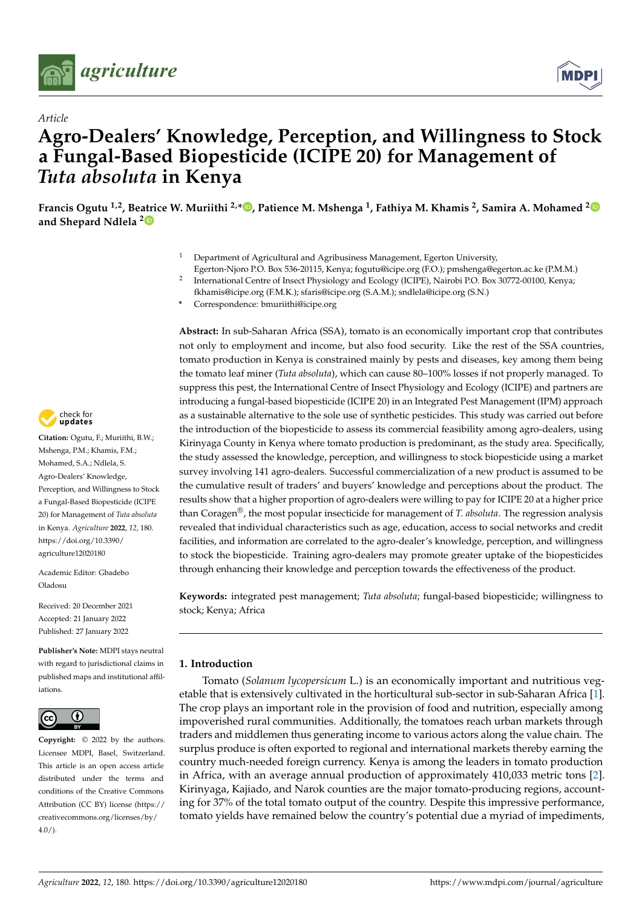



# *Article* **Agro-Dealers' Knowledge, Perception, and Willingness to Stock a Fungal-Based Biopesticide (ICIPE 20) for Management of** *Tuta absoluta* **in Kenya**

**Francis Ogutu 1,2, Beatrice W. Muriithi 2,[\\*](https://orcid.org/0000-0001-7946-8949) , Patience M. Mshenga <sup>1</sup> , Fathiya M. Khamis <sup>2</sup> , Samira A. Mohamed [2](https://orcid.org/0000-0001-6836-7528) and Shepard Ndlela [2](https://orcid.org/0000-0003-0015-9946)**

<sup>1</sup> Department of Agricultural and Agribusiness Management, Egerton University,

Egerton-Njoro P.O. Box 536-20115, Kenya; fogutu@icipe.org (F.O.); pmshenga@egerton.ac.ke (P.M.M.) 2 International Centre of Insect Physiology and Ecology (ICIPE), Nairobi P.O. Box 30772-00100, Kenya;

- fkhamis@icipe.org (F.M.K.); sfaris@icipe.org (S.A.M.); sndlela@icipe.org (S.N.)
- **\*** Correspondence: bmuriithi@icipe.org

**Abstract:** In sub-Saharan Africa (SSA), tomato is an economically important crop that contributes not only to employment and income, but also food security. Like the rest of the SSA countries, tomato production in Kenya is constrained mainly by pests and diseases, key among them being the tomato leaf miner (*Tuta absoluta*), which can cause 80–100% losses if not properly managed. To suppress this pest, the International Centre of Insect Physiology and Ecology (ICIPE) and partners are introducing a fungal-based biopesticide (ICIPE 20) in an Integrated Pest Management (IPM) approach as a sustainable alternative to the sole use of synthetic pesticides. This study was carried out before the introduction of the biopesticide to assess its commercial feasibility among agro-dealers, using Kirinyaga County in Kenya where tomato production is predominant, as the study area. Specifically, the study assessed the knowledge, perception, and willingness to stock biopesticide using a market survey involving 141 agro-dealers. Successful commercialization of a new product is assumed to be the cumulative result of traders' and buyers' knowledge and perceptions about the product. The results show that a higher proportion of agro-dealers were willing to pay for ICIPE 20 at a higher price than Coragen®, the most popular insecticide for management of *T. absoluta*. The regression analysis revealed that individual characteristics such as age, education, access to social networks and credit facilities, and information are correlated to the agro-dealer's knowledge, perception, and willingness to stock the biopesticide. Training agro-dealers may promote greater uptake of the biopesticides through enhancing their knowledge and perception towards the effectiveness of the product.

**Keywords:** integrated pest management; *Tuta absoluta*; fungal-based biopesticide; willingness to stock; Kenya; Africa

# **1. Introduction**

Tomato (*Solanum lycopersicum* L.) is an economically important and nutritious vegetable that is extensively cultivated in the horticultural sub-sector in sub-Saharan Africa [\[1\]](#page-10-0). The crop plays an important role in the provision of food and nutrition, especially among impoverished rural communities. Additionally, the tomatoes reach urban markets through traders and middlemen thus generating income to various actors along the value chain. The surplus produce is often exported to regional and international markets thereby earning the country much-needed foreign currency. Kenya is among the leaders in tomato production in Africa, with an average annual production of approximately 410,033 metric tons [\[2\]](#page-10-1). Kirinyaga, Kajiado, and Narok counties are the major tomato-producing regions, accounting for 37% of the total tomato output of the country. Despite this impressive performance, tomato yields have remained below the country's potential due a myriad of impediments,



**Citation:** Ogutu, F.; Muriithi, B.W.; Mshenga, P.M.; Khamis, F.M.; Mohamed, S.A.; Ndlela, S. Agro-Dealers' Knowledge, Perception, and Willingness to Stock a Fungal-Based Biopesticide (ICIPE 20) for Management of *Tuta absoluta* in Kenya. *Agriculture* **2022**, *12*, 180. [https://doi.org/10.3390/](https://doi.org/10.3390/agriculture12020180) [agriculture12020180](https://doi.org/10.3390/agriculture12020180)

Academic Editor: Gbadebo Oladosu

Received: 20 December 2021 Accepted: 21 January 2022 Published: 27 January 2022

**Publisher's Note:** MDPI stays neutral with regard to jurisdictional claims in published maps and institutional affiliations.



**Copyright:** © 2022 by the authors. Licensee MDPI, Basel, Switzerland. This article is an open access article distributed under the terms and conditions of the Creative Commons Attribution (CC BY) license [\(https://](https://creativecommons.org/licenses/by/4.0/) [creativecommons.org/licenses/by/](https://creativecommons.org/licenses/by/4.0/)  $4.0/$ ).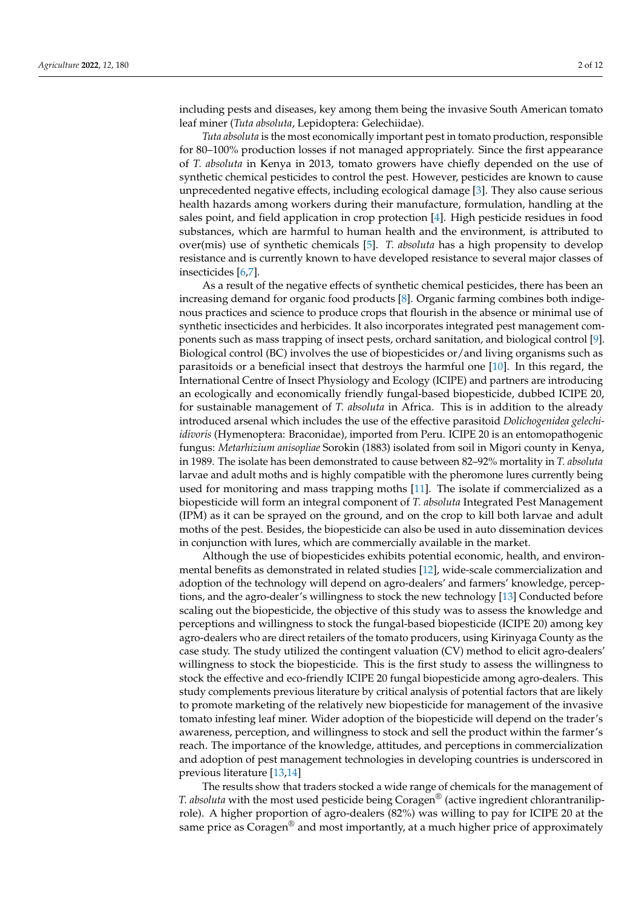including pests and diseases, key among them being the invasive South American tomato leaf miner (*Tuta absoluta*, Lepidoptera: Gelechiidae).

*Tuta absoluta* is the most economically important pest in tomato production, responsible for 80–100% production losses if not managed appropriately. Since the first appearance of *T. absoluta* in Kenya in 2013, tomato growers have chiefly depended on the use of synthetic chemical pesticides to control the pest. However, pesticides are known to cause unprecedented negative effects, including ecological damage [\[3\]](#page-10-2). They also cause serious health hazards among workers during their manufacture, formulation, handling at the sales point, and field application in crop protection [\[4\]](#page-10-3). High pesticide residues in food substances, which are harmful to human health and the environment, is attributed to over(mis) use of synthetic chemicals [\[5\]](#page-10-4). *T. absoluta* has a high propensity to develop resistance and is currently known to have developed resistance to several major classes of insecticides [\[6](#page-10-5)[,7\]](#page-10-6).

As a result of the negative effects of synthetic chemical pesticides, there has been an increasing demand for organic food products [\[8\]](#page-10-7). Organic farming combines both indigenous practices and science to produce crops that flourish in the absence or minimal use of synthetic insecticides and herbicides. It also incorporates integrated pest management components such as mass trapping of insect pests, orchard sanitation, and biological control [\[9\]](#page-10-8). Biological control (BC) involves the use of biopesticides or/and living organisms such as parasitoids or a beneficial insect that destroys the harmful one [\[10\]](#page-10-9). In this regard, the International Centre of Insect Physiology and Ecology (ICIPE) and partners are introducing an ecologically and economically friendly fungal-based biopesticide, dubbed ICIPE 20, for sustainable management of *T. absoluta* in Africa. This is in addition to the already introduced arsenal which includes the use of the effective parasitoid *Dolichogenidea gelechiidivoris* (Hymenoptera: Braconidae), imported from Peru. ICIPE 20 is an entomopathogenic fungus: *Metarhizium anisopliae* Sorokin (1883) isolated from soil in Migori county in Kenya, in 1989. The isolate has been demonstrated to cause between 82–92% mortality in *T. absoluta* larvae and adult moths and is highly compatible with the pheromone lures currently being used for monitoring and mass trapping moths [\[11\]](#page-10-10). The isolate if commercialized as a biopesticide will form an integral component of *T. absoluta* Integrated Pest Management (IPM) as it can be sprayed on the ground, and on the crop to kill both larvae and adult moths of the pest. Besides, the biopesticide can also be used in auto dissemination devices in conjunction with lures, which are commercially available in the market.

Although the use of biopesticides exhibits potential economic, health, and environmental benefits as demonstrated in related studies [\[12\]](#page-10-11), wide-scale commercialization and adoption of the technology will depend on agro-dealers' and farmers' knowledge, perceptions, and the agro-dealer's willingness to stock the new technology [\[13\]](#page-10-12) Conducted before scaling out the biopesticide, the objective of this study was to assess the knowledge and perceptions and willingness to stock the fungal-based biopesticide (ICIPE 20) among key agro-dealers who are direct retailers of the tomato producers, using Kirinyaga County as the case study. The study utilized the contingent valuation (CV) method to elicit agro-dealers' willingness to stock the biopesticide. This is the first study to assess the willingness to stock the effective and eco-friendly ICIPE 20 fungal biopesticide among agro-dealers. This study complements previous literature by critical analysis of potential factors that are likely to promote marketing of the relatively new biopesticide for management of the invasive tomato infesting leaf miner. Wider adoption of the biopesticide will depend on the trader's awareness, perception, and willingness to stock and sell the product within the farmer's reach. The importance of the knowledge, attitudes, and perceptions in commercialization and adoption of pest management technologies in developing countries is underscored in previous literature [\[13,](#page-10-12)[14\]](#page-11-0)

The results show that traders stocked a wide range of chemicals for the management of *T. absoluta* with the most used pesticide being Coragen® (active ingredient chlorantraniliprole). A higher proportion of agro-dealers (82%) was willing to pay for ICIPE 20 at the same price as  $\text{Coragen}^{\circledR}$  and most importantly, at a much higher price of approximately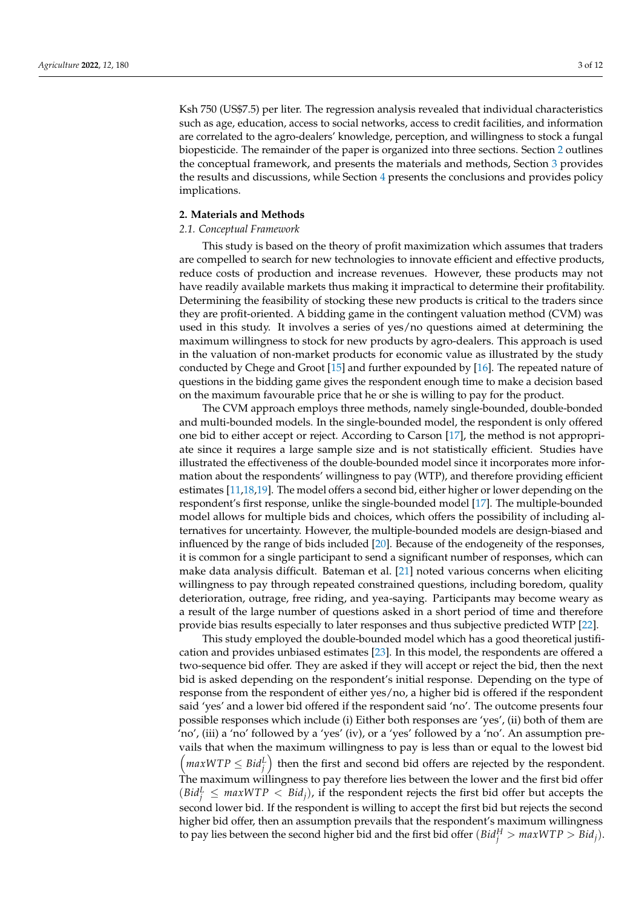Ksh 750 (US\$7.5) per liter. The regression analysis revealed that individual characteristics such as age, education, access to social networks, access to credit facilities, and information are correlated to the agro-dealers' knowledge, perception, and willingness to stock a fungal biopesticide. The remainder of the paper is organized into three sections. Section [2](#page-2-0) outlines the conceptual framework, and presents the materials and methods, Section [3](#page-5-0) provides the results and discussions, while Section [4](#page-9-0) presents the conclusions and provides policy implications.

### <span id="page-2-0"></span>**2. Materials and Methods**

# *2.1. Conceptual Framework*

This study is based on the theory of profit maximization which assumes that traders are compelled to search for new technologies to innovate efficient and effective products, reduce costs of production and increase revenues. However, these products may not have readily available markets thus making it impractical to determine their profitability. Determining the feasibility of stocking these new products is critical to the traders since they are profit-oriented. A bidding game in the contingent valuation method (CVM) was used in this study. It involves a series of yes/no questions aimed at determining the maximum willingness to stock for new products by agro-dealers. This approach is used in the valuation of non-market products for economic value as illustrated by the study conducted by Chege and Groot [\[15\]](#page-11-1) and further expounded by [\[16\]](#page-11-2). The repeated nature of questions in the bidding game gives the respondent enough time to make a decision based on the maximum favourable price that he or she is willing to pay for the product.

The CVM approach employs three methods, namely single-bounded, double-bonded and multi-bounded models. In the single-bounded model, the respondent is only offered one bid to either accept or reject. According to Carson [\[17\]](#page-11-3), the method is not appropriate since it requires a large sample size and is not statistically efficient. Studies have illustrated the effectiveness of the double-bounded model since it incorporates more information about the respondents' willingness to pay (WTP), and therefore providing efficient estimates [\[11](#page-10-10)[,18](#page-11-4)[,19\]](#page-11-5). The model offers a second bid, either higher or lower depending on the respondent's first response, unlike the single-bounded model [\[17\]](#page-11-3). The multiple-bounded model allows for multiple bids and choices, which offers the possibility of including alternatives for uncertainty. However, the multiple-bounded models are design-biased and influenced by the range of bids included [\[20\]](#page-11-6). Because of the endogeneity of the responses, it is common for a single participant to send a significant number of responses, which can make data analysis difficult. Bateman et al. [\[21\]](#page-11-7) noted various concerns when eliciting willingness to pay through repeated constrained questions, including boredom, quality deterioration, outrage, free riding, and yea-saying. Participants may become weary as a result of the large number of questions asked in a short period of time and therefore provide bias results especially to later responses and thus subjective predicted WTP [\[22\]](#page-11-8).

This study employed the double-bounded model which has a good theoretical justification and provides unbiased estimates [\[23\]](#page-11-9). In this model, the respondents are offered a two-sequence bid offer. They are asked if they will accept or reject the bid, then the next bid is asked depending on the respondent's initial response. Depending on the type of response from the respondent of either yes/no, a higher bid is offered if the respondent said 'yes' and a lower bid offered if the respondent said 'no'. The outcome presents four possible responses which include (i) Either both responses are 'yes', (ii) both of them are 'no', (iii) a 'no' followed by a 'yes' (iv), or a 'yes' followed by a 'no'. An assumption prevails that when the maximum willingness to pay is less than or equal to the lowest bid  $(maxWTP \leq Bid^L_j)$  then the first and second bid offers are rejected by the respondent. The maximum willingness to pay therefore lies between the lower and the first bid offer  $(Bid_j^L \leq \textit{maxWTP} < \textit{Bid}_j)$ , if the respondent rejects the first bid offer but accepts the second lower bid. If the respondent is willing to accept the first bid but rejects the second higher bid offer, then an assumption prevails that the respondent's maximum willingness to pay lies between the second higher bid and the first bid offer  $(Bid_j^H > maxWTP > Bid_j)$ .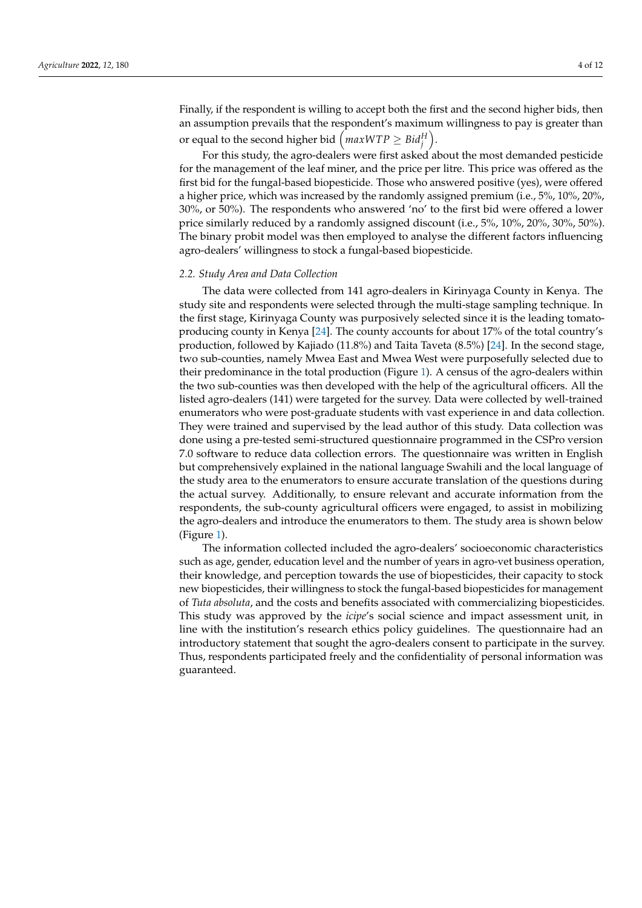Finally, if the respondent is willing to accept both the first and the second higher bids, then an assumption prevails that the respondent's maximum willingness to pay is greater than or equal to the second higher bid  $\left(\textit{maxWTP} \geq \textit{Bid}_j^H\right)$ .

For this study, the agro-dealers were first asked about the most demanded pesticide for the management of the leaf miner, and the price per litre. This price was offered as the first bid for the fungal-based biopesticide. Those who answered positive (yes), were offered a higher price, which was increased by the randomly assigned premium (i.e., 5%, 10%, 20%, 30%, or 50%). The respondents who answered 'no' to the first bid were offered a lower price similarly reduced by a randomly assigned discount (i.e., 5%, 10%, 20%, 30%, 50%). The binary probit model was then employed to analyse the different factors influencing agro-dealers' willingness to stock a fungal-based biopesticide.

#### *2.2. Study Area and Data Collection*

The data were collected from 141 agro-dealers in Kirinyaga County in Kenya. The study site and respondents were selected through the multi-stage sampling technique. In the first stage, Kirinyaga County was purposively selected since it is the leading tomatoproducing county in Kenya [\[24\]](#page-11-10). The county accounts for about 17% of the total country's production, followed by Kajiado (11.8%) and Taita Taveta (8.5%) [\[24\]](#page-11-10). In the second stage, two sub-counties, namely Mwea East and Mwea West were purposefully selected due to their predominance in the total production (Figure [1\)](#page-4-0). A census of the agro-dealers within the two sub-counties was then developed with the help of the agricultural officers. All the listed agro-dealers (141) were targeted for the survey. Data were collected by well-trained enumerators who were post-graduate students with vast experience in and data collection. They were trained and supervised by the lead author of this study. Data collection was done using a pre-tested semi-structured questionnaire programmed in the CSPro version 7.0 software to reduce data collection errors. The questionnaire was written in English but comprehensively explained in the national language Swahili and the local language of the study area to the enumerators to ensure accurate translation of the questions during the actual survey. Additionally, to ensure relevant and accurate information from the respondents, the sub-county agricultural officers were engaged, to assist in mobilizing the agro-dealers and introduce the enumerators to them. The study area is shown below (Figure [1\)](#page-4-0).

The information collected included the agro-dealers' socioeconomic characteristics such as age, gender, education level and the number of years in agro-vet business operation, their knowledge, and perception towards the use of biopesticides, their capacity to stock new biopesticides, their willingness to stock the fungal-based biopesticides for management of *Tuta absoluta*, and the costs and benefits associated with commercializing biopesticides. This study was approved by the *icipe*'s social science and impact assessment unit, in line with the institution's research ethics policy guidelines. The questionnaire had an introductory statement that sought the agro-dealers consent to participate in the survey. Thus, respondents participated freely and the confidentiality of personal information was guaranteed.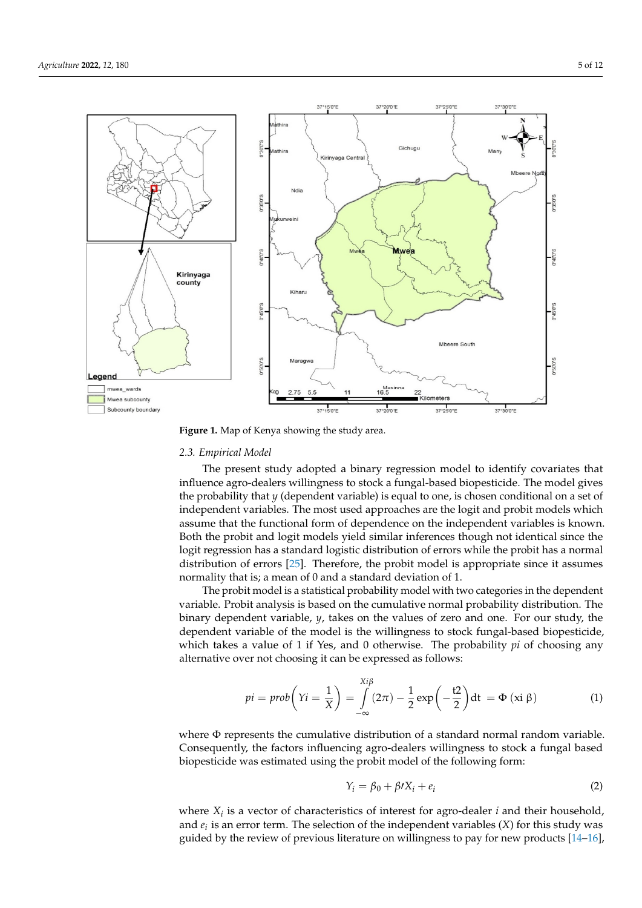<span id="page-4-0"></span>

**Figure 1.** Map of Kenya showing the study area. **Figure 1.** Map of Kenya showing the study area.

#### $Empirical$  included the agro-dealersted included the agro-dealersted included the agro-dealersted included the agro-*2.3. Empirical Model*

The present study adopted a binary regression model to identify covariates that influence agro-dealers willingness to stock a fungal-based biopesticide. The model gives the probability that *y* (dependent variable) is equal to one, is chosen conditional on a set of independent variables. The most used approaches are the logit and probit models which assume that the functional form of dependence on the independent variables is known. Both the probit and logit models yield similar inferences though not identical since the logit regression has a standard logistic distribution of errors while the probit has a normal distribution of errors  $[25]$ . Therefore, the probit model is appropriate since it assumes normality that is; a mean of  $0$  and a standard deviation of  $1$ .

*2.3. Empirical Model* variable. Probit analysis is based on the cumulative normal probability distribution. The ETHETY dependent variable of the model is the variable of zero and one. The bar stady, the dependent variable of the model is the willingness to stock fungal-based biopesticide, which takes a value of 1 if Yes, and 0 otherwise. The probability *pi* of choosing any  $p_{\text{in}}$  is equal to one of  $\alpha$  is equal to one, is chosen conditional on a set of  $\alpha$  set of  $\alpha$  set of  $\alpha$  set of  $\alpha$  set of  $\alpha$  set of  $\alpha$  set of  $\alpha$  set of  $\alpha$  set of  $\alpha$  set on a set of  $\alpha$  set of  $\alpha$  se alternative over not choosing it can be expressed as follows: The probit model is a statistical probability model with two categories in the dependent binary dependent variable, *y*, takes on the values of zero and one. For our study, the

$$
pi = prob\left(Yi = \frac{1}{X}\right) = \int_{-\infty}^{Xi\beta} (2\pi) - \frac{1}{2} exp\left(-\frac{t^2}{2}\right) dt = \Phi\left(xi \beta\right)
$$
 (1)

where  $\Phi$  represents the cumulative distribution of a standard normal random variable. Consequently, the factors influencing agro-dealers willingness to stock a fungal based biopesticide was estimated using the probit model of the following form:

$$
Y_i = \beta_0 + \beta X_i + e_i \tag{2}
$$

where  $X_i$  is a vector of characteristics of interest for agro-dealer *i* and their household, and  $e_i$  is an error term. The selection of the independent variables  $(X)$  for this study was guided by the review of previous literature on willingness to pay for new products [\[14–](#page-11-0)[16\]](#page-11-2),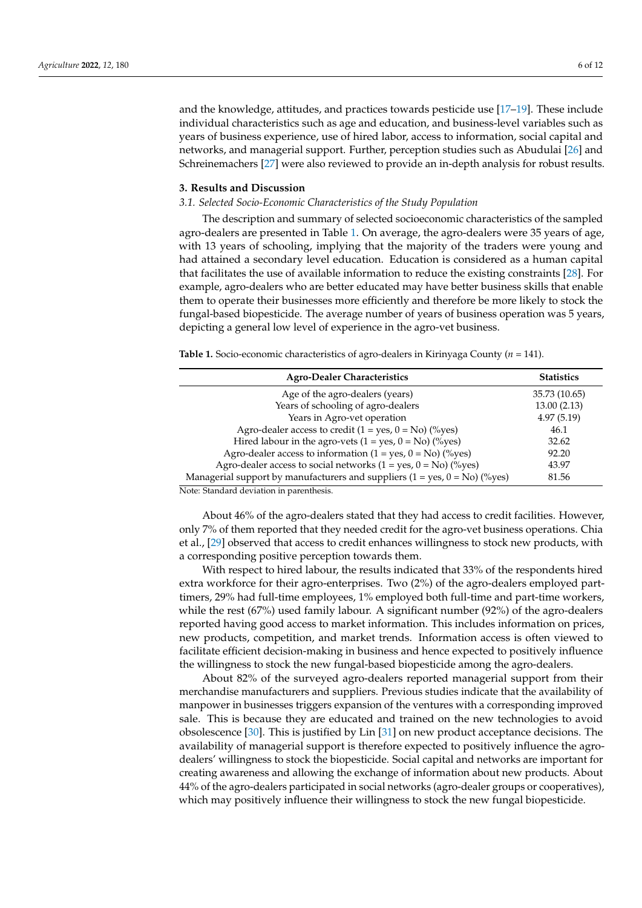and the knowledge, attitudes, and practices towards pesticide use [\[17–](#page-11-3)[19\]](#page-11-5). These include individual characteristics such as age and education, and business-level variables such as years of business experience, use of hired labor, access to information, social capital and networks, and managerial support. Further, perception studies such as Abudulai [\[26\]](#page-11-12) and Schreinemachers [\[27\]](#page-11-13) were also reviewed to provide an in-depth analysis for robust results.

# <span id="page-5-0"></span>**3. Results and Discussion**

### *3.1. Selected Socio-Economic Characteristics of the Study Population*

The description and summary of selected socioeconomic characteristics of the sampled agro-dealers are presented in Table [1.](#page-5-1) On average, the agro-dealers were 35 years of age, with 13 years of schooling, implying that the majority of the traders were young and had attained a secondary level education. Education is considered as a human capital that facilitates the use of available information to reduce the existing constraints [\[28\]](#page-11-14). For example, agro-dealers who are better educated may have better business skills that enable them to operate their businesses more efficiently and therefore be more likely to stock the fungal-based biopesticide. The average number of years of business operation was 5 years, depicting a general low level of experience in the agro-vet business.

<span id="page-5-1"></span>**Table 1.** Socio-economic characteristics of agro-dealers in Kirinyaga County (*n* = 141).

| <b>Agro-Dealer Characteristics</b>                                           | <b>Statistics</b> |
|------------------------------------------------------------------------------|-------------------|
| Age of the agro-dealers (years)                                              | 35.73 (10.65)     |
| Years of schooling of agro-dealers                                           | 13.00(2.13)       |
| Years in Agro-vet operation                                                  | 4.97(5.19)        |
| Agro-dealer access to credit $(1 = yes, 0 = No)$ (%yes)                      | 46.1              |
| Hired labour in the agro-vets $(1 = yes, 0 = No)$ (%yes)                     | 32.62             |
| Agro-dealer access to information $(1 = yes, 0 = No)$ (%yes)                 | 92.20             |
| Agro-dealer access to social networks $(1 = yes, 0 = No)$ (%yes)             | 43.97             |
| Managerial support by manufacturers and suppliers $(1 = yes, 0 = No)$ (%yes) | 81.56             |

Note: Standard deviation in parenthesis.

About 46% of the agro-dealers stated that they had access to credit facilities. However, only 7% of them reported that they needed credit for the agro-vet business operations. Chia et al., [\[29\]](#page-11-15) observed that access to credit enhances willingness to stock new products, with a corresponding positive perception towards them.

With respect to hired labour, the results indicated that 33% of the respondents hired extra workforce for their agro-enterprises. Two (2%) of the agro-dealers employed parttimers, 29% had full-time employees, 1% employed both full-time and part-time workers, while the rest (67%) used family labour. A significant number (92%) of the agro-dealers reported having good access to market information. This includes information on prices, new products, competition, and market trends. Information access is often viewed to facilitate efficient decision-making in business and hence expected to positively influence the willingness to stock the new fungal-based biopesticide among the agro-dealers.

About 82% of the surveyed agro-dealers reported managerial support from their merchandise manufacturers and suppliers. Previous studies indicate that the availability of manpower in businesses triggers expansion of the ventures with a corresponding improved sale. This is because they are educated and trained on the new technologies to avoid obsolescence [\[30\]](#page-11-16). This is justified by Lin [\[31\]](#page-11-17) on new product acceptance decisions. The availability of managerial support is therefore expected to positively influence the agrodealers' willingness to stock the biopesticide. Social capital and networks are important for creating awareness and allowing the exchange of information about new products. About 44% of the agro-dealers participated in social networks (agro-dealer groups or cooperatives), which may positively influence their willingness to stock the new fungal biopesticide.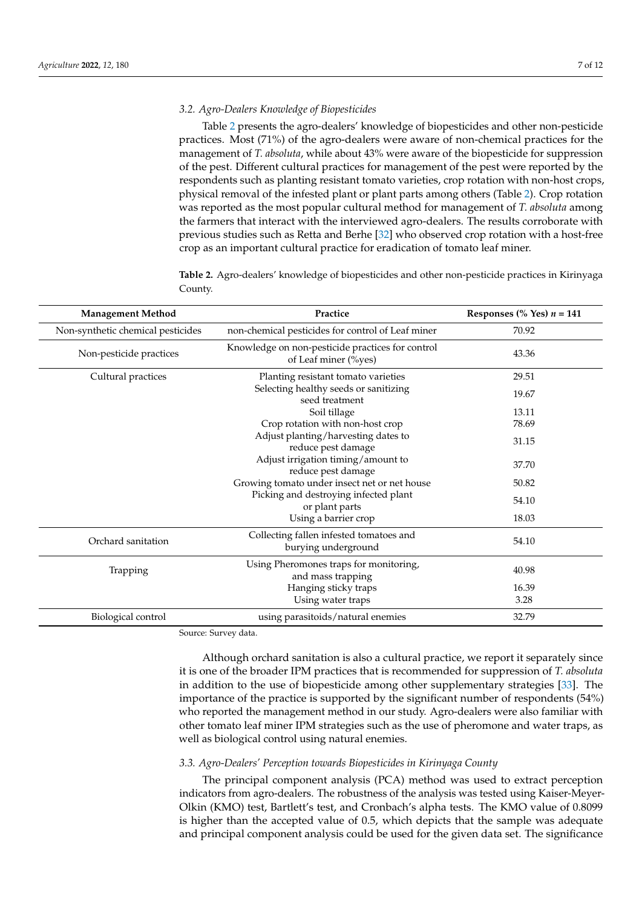# *3.2. Agro-Dealers Knowledge of Biopesticides*

Table [2](#page-6-0) presents the agro-dealers' knowledge of biopesticides and other non-pesticide practices. Most (71%) of the agro-dealers were aware of non-chemical practices for the management of *T. absoluta*, while about 43% were aware of the biopesticide for suppression of the pest. Different cultural practices for management of the pest were reported by the respondents such as planting resistant tomato varieties, crop rotation with non-host crops, physical removal of the infested plant or plant parts among others (Table [2\)](#page-6-0). Crop rotation was reported as the most popular cultural method for management of *T. absoluta* among the farmers that interact with the interviewed agro-dealers. The results corroborate with previous studies such as Retta and Berhe [\[32\]](#page-11-18) who observed crop rotation with a host-free crop as an important cultural practice for eradication of tomato leaf miner.

<span id="page-6-0"></span>**Table 2.** Agro-dealers' knowledge of biopesticides and other non-pesticide practices in Kirinyaga County.

| <b>Management Method</b>          | Practice                                                                 | Responses (% Yes) $n = 141$ |
|-----------------------------------|--------------------------------------------------------------------------|-----------------------------|
| Non-synthetic chemical pesticides | non-chemical pesticides for control of Leaf miner                        | 70.92                       |
| Non-pesticide practices           | Knowledge on non-pesticide practices for control<br>of Leaf miner (%yes) | 43.36                       |
| Cultural practices                | Planting resistant tomato varieties                                      | 29.51                       |
|                                   | Selecting healthy seeds or sanitizing<br>seed treatment                  | 19.67                       |
|                                   | Soil tillage                                                             | 13.11                       |
|                                   | Crop rotation with non-host crop                                         | 78.69                       |
|                                   | Adjust planting/harvesting dates to<br>reduce pest damage                | 31.15                       |
|                                   | Adjust irrigation timing/amount to<br>reduce pest damage                 | 37.70                       |
|                                   | Growing tomato under insect net or net house                             | 50.82                       |
|                                   | Picking and destroying infected plant<br>or plant parts                  | 54.10                       |
|                                   | Using a barrier crop                                                     | 18.03                       |
| Orchard sanitation                | Collecting fallen infested tomatoes and<br>burying underground           | 54.10                       |
| Trapping                          | Using Pheromones traps for monitoring,<br>and mass trapping              | 40.98                       |
|                                   | Hanging sticky traps                                                     | 16.39                       |
|                                   | Using water traps                                                        | 3.28                        |
| Biological control                | using parasitoids/natural enemies                                        | 32.79                       |

Source: Survey data.

Although orchard sanitation is also a cultural practice, we report it separately since it is one of the broader IPM practices that is recommended for suppression of *T. absoluta* in addition to the use of biopesticide among other supplementary strategies [\[33\]](#page-11-19). The importance of the practice is supported by the significant number of respondents (54%) who reported the management method in our study. Agro-dealers were also familiar with other tomato leaf miner IPM strategies such as the use of pheromone and water traps, as well as biological control using natural enemies.

### *3.3. Agro-Dealers' Perception towards Biopesticides in Kirinyaga County*

The principal component analysis (PCA) method was used to extract perception indicators from agro-dealers. The robustness of the analysis was tested using Kaiser-Meyer-Olkin (KMO) test, Bartlett's test, and Cronbach's alpha tests. The KMO value of 0.8099 is higher than the accepted value of 0.5, which depicts that the sample was adequate and principal component analysis could be used for the given data set. The significance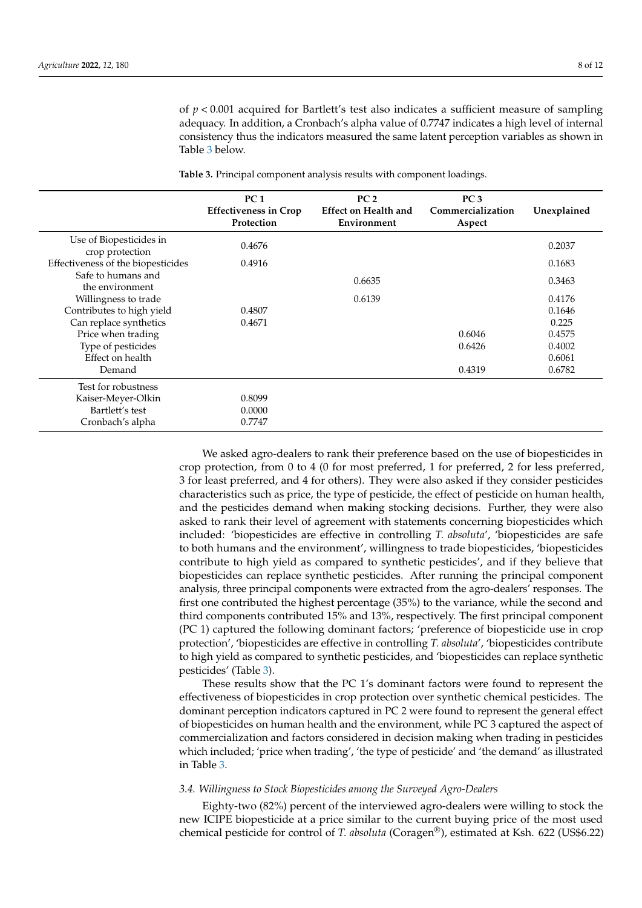of *p* < 0.001 acquired for Bartlett's test also indicates a sufficient measure of sampling adequacy. In addition, a Cronbach's alpha value of 0.7747 indicates a high level of internal consistency thus the indicators measured the same latent perception variables as shown in Table [3](#page-7-0) below.

|                                            | PC <sub>1</sub><br><b>Effectiveness in Crop</b><br>Protection | PC <sub>2</sub><br><b>Effect on Health and</b><br>Environment | PC <sub>3</sub><br>Commercialization<br>Aspect | Unexplained |
|--------------------------------------------|---------------------------------------------------------------|---------------------------------------------------------------|------------------------------------------------|-------------|
| Use of Biopesticides in<br>crop protection | 0.4676                                                        |                                                               |                                                | 0.2037      |
| Effectiveness of the biopesticides         | 0.4916                                                        |                                                               |                                                | 0.1683      |
| Safe to humans and<br>the environment      |                                                               | 0.6635                                                        |                                                | 0.3463      |
| Willingness to trade                       |                                                               | 0.6139                                                        |                                                | 0.4176      |
| Contributes to high yield                  | 0.4807                                                        |                                                               |                                                | 0.1646      |
| Can replace synthetics                     | 0.4671                                                        |                                                               |                                                | 0.225       |
| Price when trading                         |                                                               |                                                               | 0.6046                                         | 0.4575      |
| Type of pesticides                         |                                                               |                                                               | 0.6426                                         | 0.4002      |
| Effect on health                           |                                                               |                                                               |                                                | 0.6061      |
| Demand                                     |                                                               |                                                               | 0.4319                                         | 0.6782      |
| Test for robustness                        |                                                               |                                                               |                                                |             |
| Kaiser-Meyer-Olkin                         | 0.8099                                                        |                                                               |                                                |             |
| Bartlett's test                            | 0.0000                                                        |                                                               |                                                |             |
| Cronbach's alpha                           | 0.7747                                                        |                                                               |                                                |             |

<span id="page-7-0"></span>**Table 3.** Principal component analysis results with component loadings.

We asked agro-dealers to rank their preference based on the use of biopesticides in crop protection, from 0 to 4 (0 for most preferred, 1 for preferred, 2 for less preferred, 3 for least preferred, and 4 for others). They were also asked if they consider pesticides characteristics such as price, the type of pesticide, the effect of pesticide on human health, and the pesticides demand when making stocking decisions. Further, they were also asked to rank their level of agreement with statements concerning biopesticides which included: 'biopesticides are effective in controlling *T. absoluta*', 'biopesticides are safe to both humans and the environment', willingness to trade biopesticides, 'biopesticides contribute to high yield as compared to synthetic pesticides', and if they believe that biopesticides can replace synthetic pesticides. After running the principal component analysis, three principal components were extracted from the agro-dealers' responses. The first one contributed the highest percentage (35%) to the variance, while the second and third components contributed 15% and 13%, respectively. The first principal component (PC 1) captured the following dominant factors; 'preference of biopesticide use in crop protection', 'biopesticides are effective in controlling *T. absoluta*', 'biopesticides contribute to high yield as compared to synthetic pesticides, and 'biopesticides can replace synthetic pesticides' (Table [3\)](#page-7-0).

These results show that the PC 1's dominant factors were found to represent the effectiveness of biopesticides in crop protection over synthetic chemical pesticides. The dominant perception indicators captured in PC 2 were found to represent the general effect of biopesticides on human health and the environment, while PC 3 captured the aspect of commercialization and factors considered in decision making when trading in pesticides which included; 'price when trading', 'the type of pesticide' and 'the demand' as illustrated in Table [3.](#page-7-0)

#### *3.4. Willingness to Stock Biopesticides among the Surveyed Agro-Dealers*

Eighty-two (82%) percent of the interviewed agro-dealers were willing to stock the new ICIPE biopesticide at a price similar to the current buying price of the most used chemical pesticide for control of *T. absoluta* (Coragen®), estimated at Ksh. 622 (US\$6.22)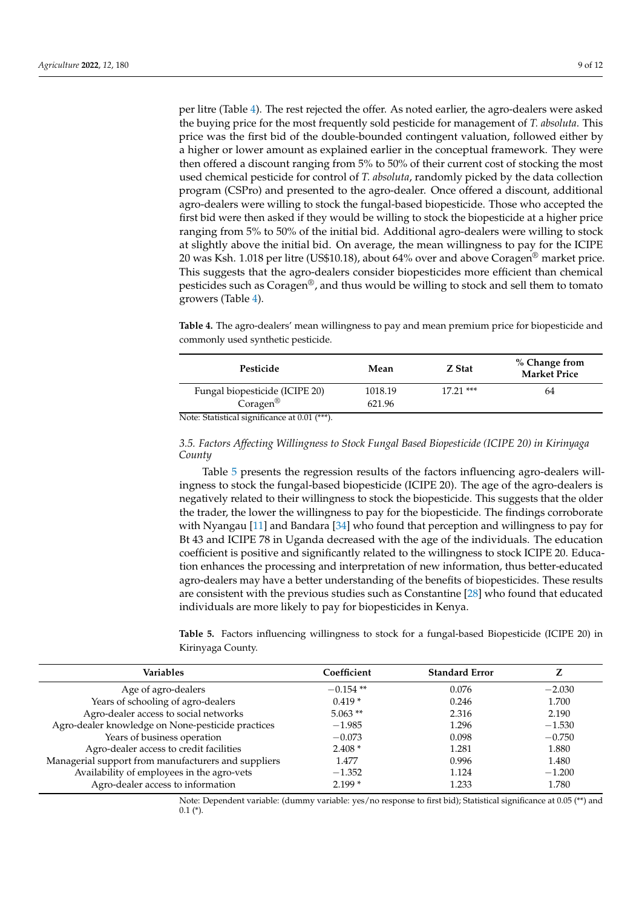per litre (Table [4\)](#page-8-0). The rest rejected the offer. As noted earlier, the agro-dealers were asked the buying price for the most frequently sold pesticide for management of *T. absoluta*. This price was the first bid of the double-bounded contingent valuation, followed either by a higher or lower amount as explained earlier in the conceptual framework. They were then offered a discount ranging from 5% to 50% of their current cost of stocking the most used chemical pesticide for control of *T. absoluta*, randomly picked by the data collection program (CSPro) and presented to the agro-dealer. Once offered a discount, additional agro-dealers were willing to stock the fungal-based biopesticide. Those who accepted the first bid were then asked if they would be willing to stock the biopesticide at a higher price ranging from 5% to 50% of the initial bid. Additional agro-dealers were willing to stock at slightly above the initial bid. On average, the mean willingness to pay for the ICIPE 20 was Ksh. 1.018 per litre (US\$10.18), about 64% over and above Coragen® market price. This suggests that the agro-dealers consider biopesticides more efficient than chemical pesticides such as Coragen®, and thus would be willing to stock and sell them to tomato growers (Table [4\)](#page-8-0).

<span id="page-8-0"></span>**Table 4.** The agro-dealers' mean willingness to pay and mean premium price for biopesticide and commonly used synthetic pesticide.

| Pesticide                                             | Mean    | Z Stat      | % Change from<br><b>Market Price</b> |
|-------------------------------------------------------|---------|-------------|--------------------------------------|
| Fungal biopesticide (ICIPE 20)                        | 1018.19 | $17.21$ *** | 64                                   |
| Coragen <sup>®</sup>                                  | 621.96  |             |                                      |
| .<br>$\sim$ $\sim$ $\sim$ $\sim$ $\sim$ $\sim$ $\sim$ |         |             |                                      |

Note: Statistical significance at 0.01 (\*\*\*).

*3.5. Factors Affecting Willingness to Stock Fungal Based Biopesticide (ICIPE 20) in Kirinyaga County*

Table [5](#page-8-1) presents the regression results of the factors influencing agro-dealers willingness to stock the fungal-based biopesticide (ICIPE 20). The age of the agro-dealers is negatively related to their willingness to stock the biopesticide. This suggests that the older the trader, the lower the willingness to pay for the biopesticide. The findings corroborate with Nyangau [\[11\]](#page-10-10) and Bandara [\[34\]](#page-11-20) who found that perception and willingness to pay for Bt 43 and ICIPE 78 in Uganda decreased with the age of the individuals. The education coefficient is positive and significantly related to the willingness to stock ICIPE 20. Education enhances the processing and interpretation of new information, thus better-educated agro-dealers may have a better understanding of the benefits of biopesticides. These results are consistent with the previous studies such as Constantine [\[28\]](#page-11-14) who found that educated individuals are more likely to pay for biopesticides in Kenya.

<span id="page-8-1"></span>**Table 5.** Factors influencing willingness to stock for a fungal-based Biopesticide (ICIPE 20) in Kirinyaga County.

| Variables                                           | Coefficient | <b>Standard Error</b> |          |
|-----------------------------------------------------|-------------|-----------------------|----------|
| Age of agro-dealers                                 | $-0.154$ ** | 0.076                 | $-2.030$ |
| Years of schooling of agro-dealers                  | $0.419*$    | 0.246                 | 1.700    |
| Agro-dealer access to social networks               | $5.063**$   | 2.316                 | 2.190    |
| Agro-dealer knowledge on None-pesticide practices   | $-1.985$    | 1.296                 | $-1.530$ |
| Years of business operation                         | $-0.073$    | 0.098                 | $-0.750$ |
| Agro-dealer access to credit facilities             | $2.408*$    | 1.281                 | 1.880    |
| Managerial support from manufacturers and suppliers | 1.477       | 0.996                 | 1.480    |
| Availability of employees in the agro-vets          | $-1.352$    | 1.124                 | $-1.200$ |
| Agro-dealer access to information                   | $2.199*$    | 1.233                 | 1.780    |

Note: Dependent variable: (dummy variable: yes/no response to first bid); Statistical significance at 0.05 (\*\*) and  $0.1$   $(*)$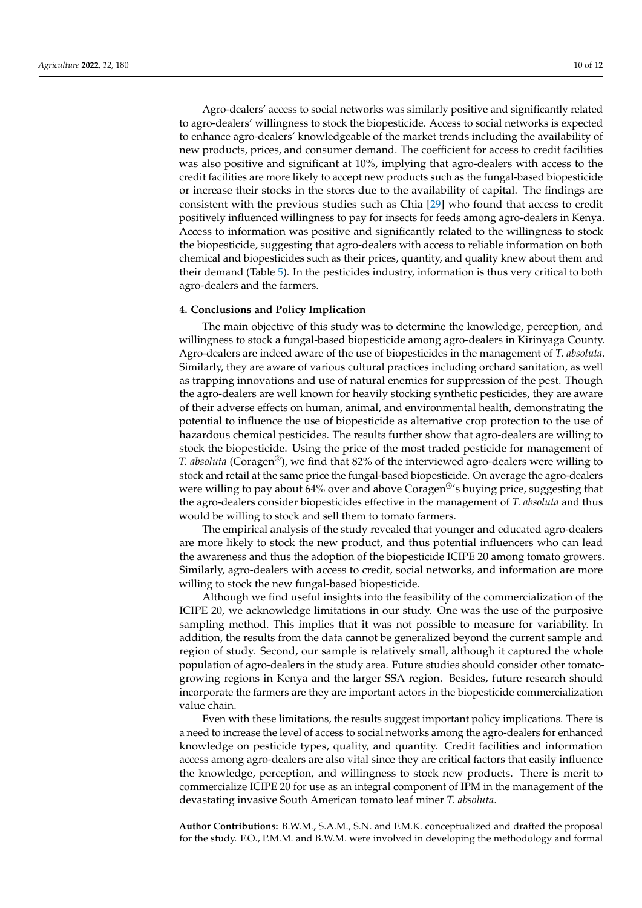Agro-dealers' access to social networks was similarly positive and significantly related to agro-dealers' willingness to stock the biopesticide. Access to social networks is expected to enhance agro-dealers' knowledgeable of the market trends including the availability of new products, prices, and consumer demand. The coefficient for access to credit facilities was also positive and significant at 10%, implying that agro-dealers with access to the credit facilities are more likely to accept new products such as the fungal-based biopesticide or increase their stocks in the stores due to the availability of capital. The findings are consistent with the previous studies such as Chia [\[29\]](#page-11-15) who found that access to credit positively influenced willingness to pay for insects for feeds among agro-dealers in Kenya. Access to information was positive and significantly related to the willingness to stock the biopesticide, suggesting that agro-dealers with access to reliable information on both chemical and biopesticides such as their prices, quantity, and quality knew about them and their demand (Table [5\)](#page-8-1). In the pesticides industry, information is thus very critical to both agro-dealers and the farmers.

#### <span id="page-9-0"></span>**4. Conclusions and Policy Implication**

The main objective of this study was to determine the knowledge, perception, and willingness to stock a fungal-based biopesticide among agro-dealers in Kirinyaga County. Agro-dealers are indeed aware of the use of biopesticides in the management of *T. absoluta*. Similarly, they are aware of various cultural practices including orchard sanitation, as well as trapping innovations and use of natural enemies for suppression of the pest. Though the agro-dealers are well known for heavily stocking synthetic pesticides, they are aware of their adverse effects on human, animal, and environmental health, demonstrating the potential to influence the use of biopesticide as alternative crop protection to the use of hazardous chemical pesticides. The results further show that agro-dealers are willing to stock the biopesticide. Using the price of the most traded pesticide for management of *T. absoluta* (Coragen®), we find that 82% of the interviewed agro-dealers were willing to stock and retail at the same price the fungal-based biopesticide. On average the agro-dealers were willing to pay about 64% over and above Coragen®'s buying price, suggesting that the agro-dealers consider biopesticides effective in the management of *T. absoluta* and thus would be willing to stock and sell them to tomato farmers.

The empirical analysis of the study revealed that younger and educated agro-dealers are more likely to stock the new product, and thus potential influencers who can lead the awareness and thus the adoption of the biopesticide ICIPE 20 among tomato growers. Similarly, agro-dealers with access to credit, social networks, and information are more willing to stock the new fungal-based biopesticide.

Although we find useful insights into the feasibility of the commercialization of the ICIPE 20, we acknowledge limitations in our study. One was the use of the purposive sampling method. This implies that it was not possible to measure for variability. In addition, the results from the data cannot be generalized beyond the current sample and region of study. Second, our sample is relatively small, although it captured the whole population of agro-dealers in the study area. Future studies should consider other tomatogrowing regions in Kenya and the larger SSA region. Besides, future research should incorporate the farmers are they are important actors in the biopesticide commercialization value chain.

Even with these limitations, the results suggest important policy implications. There is a need to increase the level of access to social networks among the agro-dealers for enhanced knowledge on pesticide types, quality, and quantity. Credit facilities and information access among agro-dealers are also vital since they are critical factors that easily influence the knowledge, perception, and willingness to stock new products. There is merit to commercialize ICIPE 20 for use as an integral component of IPM in the management of the devastating invasive South American tomato leaf miner *T. absoluta*.

**Author Contributions:** B.W.M., S.A.M., S.N. and F.M.K. conceptualized and drafted the proposal for the study. F.O., P.M.M. and B.W.M. were involved in developing the methodology and formal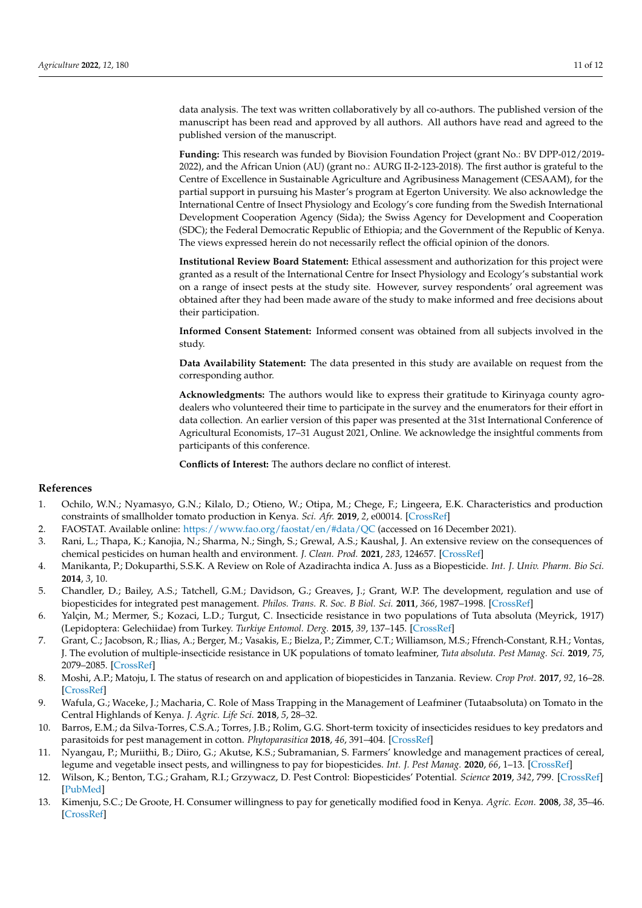data analysis. The text was written collaboratively by all co-authors. The published version of the manuscript has been read and approved by all authors. All authors have read and agreed to the published version of the manuscript.

**Funding:** This research was funded by Biovision Foundation Project (grant No.: BV DPP-012/2019- 2022), and the African Union (AU) (grant no.: AURG II-2-123-2018). The first author is grateful to the Centre of Excellence in Sustainable Agriculture and Agribusiness Management (CESAAM), for the partial support in pursuing his Master's program at Egerton University. We also acknowledge the International Centre of Insect Physiology and Ecology's core funding from the Swedish International Development Cooperation Agency (Sida); the Swiss Agency for Development and Cooperation (SDC); the Federal Democratic Republic of Ethiopia; and the Government of the Republic of Kenya. The views expressed herein do not necessarily reflect the official opinion of the donors.

**Institutional Review Board Statement:** Ethical assessment and authorization for this project were granted as a result of the International Centre for Insect Physiology and Ecology's substantial work on a range of insect pests at the study site. However, survey respondents' oral agreement was obtained after they had been made aware of the study to make informed and free decisions about their participation.

**Informed Consent Statement:** Informed consent was obtained from all subjects involved in the study.

**Data Availability Statement:** The data presented in this study are available on request from the corresponding author.

**Acknowledgments:** The authors would like to express their gratitude to Kirinyaga county agrodealers who volunteered their time to participate in the survey and the enumerators for their effort in data collection. An earlier version of this paper was presented at the 31st International Conference of Agricultural Economists, 17–31 August 2021, Online. We acknowledge the insightful comments from participants of this conference.

**Conflicts of Interest:** The authors declare no conflict of interest.

# **References**

- <span id="page-10-0"></span>1. Ochilo, W.N.; Nyamasyo, G.N.; Kilalo, D.; Otieno, W.; Otipa, M.; Chege, F.; Lingeera, E.K. Characteristics and production constraints of smallholder tomato production in Kenya. *Sci. Afr.* **2019**, *2*, e00014. [\[CrossRef\]](http://doi.org/10.1016/j.sciaf.2018.e00014)
- <span id="page-10-1"></span>2. FAOSTAT. Available online: <https://www.fao.org/faostat/en/#data/QC> (accessed on 16 December 2021).
- <span id="page-10-2"></span>3. Rani, L.; Thapa, K.; Kanojia, N.; Sharma, N.; Singh, S.; Grewal, A.S.; Kaushal, J. An extensive review on the consequences of chemical pesticides on human health and environment. *J. Clean. Prod.* **2021**, *283*, 124657. [\[CrossRef\]](http://doi.org/10.1016/j.jclepro.2020.124657)
- <span id="page-10-3"></span>4. Manikanta, P.; Dokuparthi, S.S.K. A Review on Role of Azadirachta indica A. Juss as a Biopesticide. *Int. J. Univ. Pharm. Bio Sci.* **2014**, *3*, 10.
- <span id="page-10-4"></span>5. Chandler, D.; Bailey, A.S.; Tatchell, G.M.; Davidson, G.; Greaves, J.; Grant, W.P. The development, regulation and use of biopesticides for integrated pest management. *Philos. Trans. R. Soc. B Biol. Sci.* **2011**, *366*, 1987–1998. [\[CrossRef\]](http://doi.org/10.1098/rstb.2010.0390)
- <span id="page-10-5"></span>6. Yalçin, M.; Mermer, S.; Kozaci, L.D.; Turgut, C. Insecticide resistance in two populations of Tuta absoluta (Meyrick, 1917) (Lepidoptera: Gelechiidae) from Turkey. *Turkiye Entomol. Derg.* **2015**, *39*, 137–145. [\[CrossRef\]](http://doi.org/10.16970/ted.63047)
- <span id="page-10-6"></span>7. Grant, C.; Jacobson, R.; Ilias, A.; Berger, M.; Vasakis, E.; Bielza, P.; Zimmer, C.T.; Williamson, M.S.; Ffrench-Constant, R.H.; Vontas, J. The evolution of multiple-insecticide resistance in UK populations of tomato leafminer, *Tuta absoluta*. *Pest Manag. Sci.* **2019**, *75*, 2079–2085. [\[CrossRef\]](http://doi.org/10.1002/ps.5381)
- <span id="page-10-7"></span>8. Moshi, A.P.; Matoju, I. The status of research on and application of biopesticides in Tanzania. Review. *Crop Prot.* **2017**, *92*, 16–28. [\[CrossRef\]](http://doi.org/10.1016/j.cropro.2016.10.008)
- <span id="page-10-8"></span>9. Wafula, G.; Waceke, J.; Macharia, C. Role of Mass Trapping in the Management of Leafminer (Tutaabsoluta) on Tomato in the Central Highlands of Kenya. *J. Agric. Life Sci.* **2018**, *5*, 28–32.
- <span id="page-10-9"></span>10. Barros, E.M.; da Silva-Torres, C.S.A.; Torres, J.B.; Rolim, G.G. Short-term toxicity of insecticides residues to key predators and parasitoids for pest management in cotton. *Phytoparasitica* **2018**, *46*, 391–404. [\[CrossRef\]](http://doi.org/10.1007/s12600-018-0672-8)
- <span id="page-10-10"></span>11. Nyangau, P.; Muriithi, B.; Diiro, G.; Akutse, K.S.; Subramanian, S. Farmers' knowledge and management practices of cereal, legume and vegetable insect pests, and willingness to pay for biopesticides. *Int. J. Pest Manag.* **2020**, *66*, 1–13. [\[CrossRef\]](http://doi.org/10.1080/09670874.2020.1817621)
- <span id="page-10-11"></span>12. Wilson, K.; Benton, T.G.; Graham, R.I.; Grzywacz, D. Pest Control: Biopesticides' Potential. *Science* **2019**, *342*, 799. [\[CrossRef\]](http://doi.org/10.1126/science.342.6160.799a) [\[PubMed\]](http://www.ncbi.nlm.nih.gov/pubmed/24233706)
- <span id="page-10-12"></span>13. Kimenju, S.C.; De Groote, H. Consumer willingness to pay for genetically modified food in Kenya. *Agric. Econ.* **2008**, *38*, 35–46. [\[CrossRef\]](http://doi.org/10.1111/j.1574-0862.2007.00279.x)